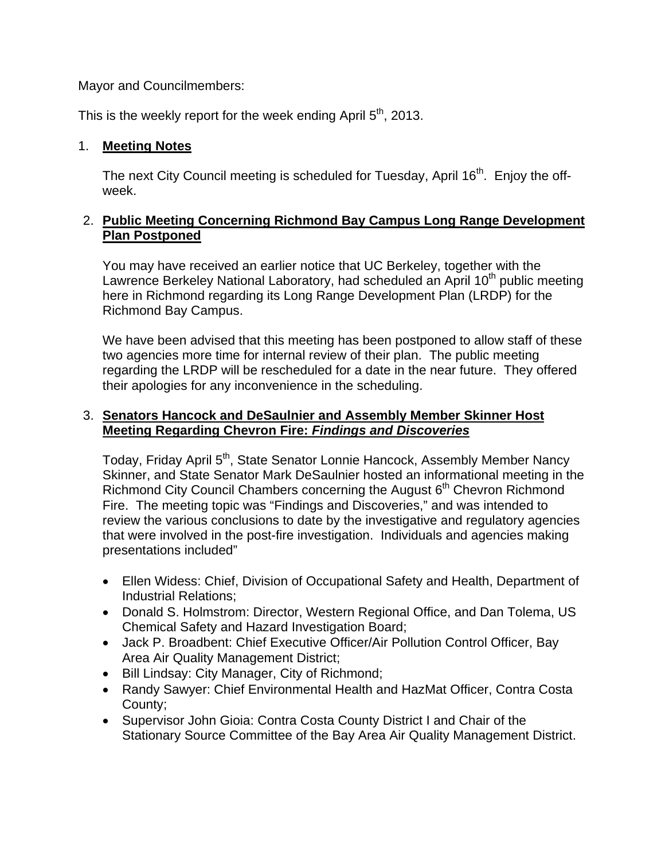Mayor and Councilmembers:

This is the weekly report for the week ending April  $5<sup>th</sup>$ , 2013.

### 1. **Meeting Notes**

The next City Council meeting is scheduled for Tuesday, April 16<sup>th</sup>. Enjoy the offweek.

## 2. **Public Meeting Concerning Richmond Bay Campus Long Range Development Plan Postponed**

You may have received an earlier notice that UC Berkeley, together with the Lawrence Berkeley National Laboratory, had scheduled an April  $10<sup>th</sup>$  public meeting here in Richmond regarding its Long Range Development Plan (LRDP) for the Richmond Bay Campus.

We have been advised that this meeting has been postponed to allow staff of these two agencies more time for internal review of their plan. The public meeting regarding the LRDP will be rescheduled for a date in the near future. They offered their apologies for any inconvenience in the scheduling.

## 3. **Senators Hancock and DeSaulnier and Assembly Member Skinner Host Meeting Regarding Chevron Fire:** *Findings and Discoveries*

Today, Friday April 5<sup>th</sup>, State Senator Lonnie Hancock, Assembly Member Nancy Skinner, and State Senator Mark DeSaulnier hosted an informational meeting in the Richmond City Council Chambers concerning the August 6<sup>th</sup> Chevron Richmond Fire. The meeting topic was "Findings and Discoveries," and was intended to review the various conclusions to date by the investigative and regulatory agencies that were involved in the post-fire investigation. Individuals and agencies making presentations included"

- Ellen Widess: Chief, Division of Occupational Safety and Health, Department of Industrial Relations;
- Donald S. Holmstrom: Director, Western Regional Office, and Dan Tolema, US Chemical Safety and Hazard Investigation Board;
- Jack P. Broadbent: Chief Executive Officer/Air Pollution Control Officer, Bay Area Air Quality Management District;
- Bill Lindsay: City Manager, City of Richmond;
- Randy Sawyer: Chief Environmental Health and HazMat Officer, Contra Costa County;
- Supervisor John Gioia: Contra Costa County District I and Chair of the Stationary Source Committee of the Bay Area Air Quality Management District.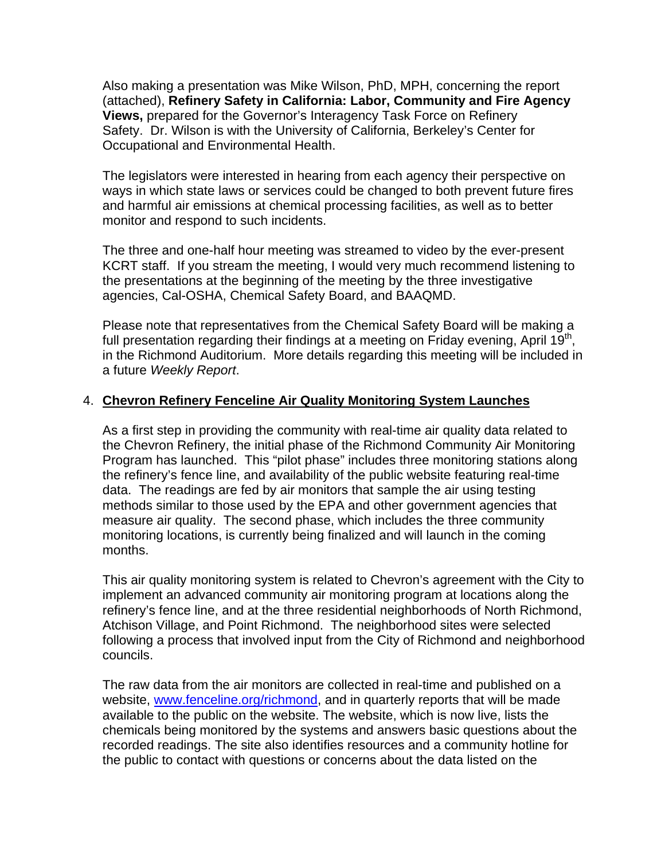Also making a presentation was Mike Wilson, PhD, MPH, concerning the report (attached), **Refinery Safety in California: Labor, Community and Fire Agency Views,** prepared for the Governor's Interagency Task Force on Refinery Safety. Dr. Wilson is with the University of California, Berkeley's Center for Occupational and Environmental Health.

The legislators were interested in hearing from each agency their perspective on ways in which state laws or services could be changed to both prevent future fires and harmful air emissions at chemical processing facilities, as well as to better monitor and respond to such incidents.

The three and one-half hour meeting was streamed to video by the ever-present KCRT staff. If you stream the meeting, I would very much recommend listening to the presentations at the beginning of the meeting by the three investigative agencies, Cal-OSHA, Chemical Safety Board, and BAAQMD.

Please note that representatives from the Chemical Safety Board will be making a full presentation regarding their findings at a meeting on Friday evening, April  $19<sup>th</sup>$ , in the Richmond Auditorium. More details regarding this meeting will be included in a future *Weekly Report*.

## 4. **Chevron Refinery Fenceline Air Quality Monitoring System Launches**

As a first step in providing the community with real-time air quality data related to the Chevron Refinery, the initial phase of the Richmond Community Air Monitoring Program has launched. This "pilot phase" includes three monitoring stations along the refinery's fence line, and availability of the public website featuring real-time data. The readings are fed by air monitors that sample the air using testing methods similar to those used by the EPA and other government agencies that measure air quality. The second phase, which includes the three community monitoring locations, is currently being finalized and will launch in the coming months.

This air quality monitoring system is related to Chevron's agreement with the City to implement an advanced community air monitoring program at locations along the refinery's fence line, and at the three residential neighborhoods of North Richmond, Atchison Village, and Point Richmond. The neighborhood sites were selected following a process that involved input from the City of Richmond and neighborhood councils.

The raw data from the air monitors are collected in real-time and published on a website, www.fenceline.org/richmond, and in quarterly reports that will be made available to the public on the website. The website, which is now live, lists the chemicals being monitored by the systems and answers basic questions about the recorded readings. The site also identifies resources and a community hotline for the public to contact with questions or concerns about the data listed on the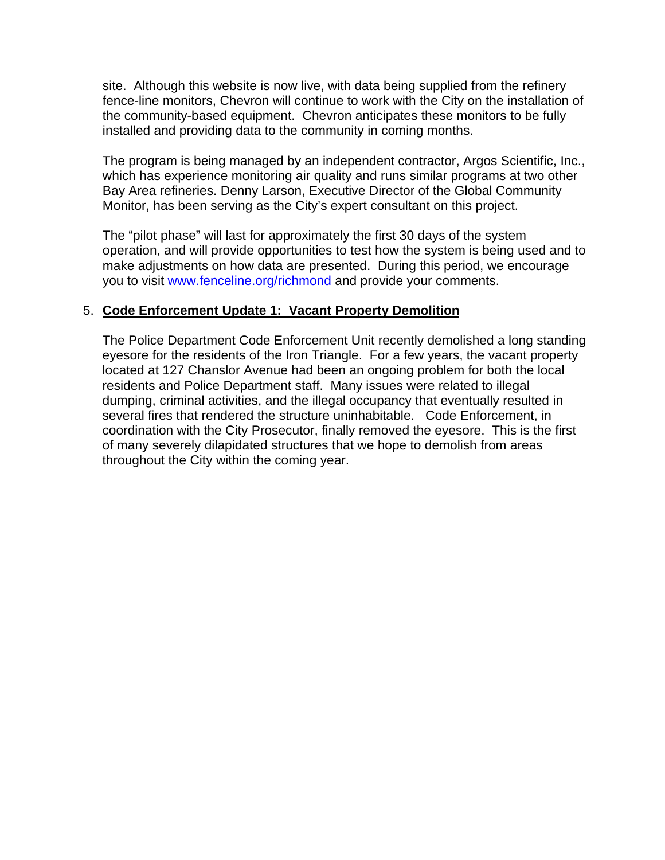site. Although this website is now live, with data being supplied from the refinery fence-line monitors, Chevron will continue to work with the City on the installation of the community-based equipment. Chevron anticipates these monitors to be fully installed and providing data to the community in coming months.

The program is being managed by an independent contractor, Argos Scientific, Inc., which has experience monitoring air quality and runs similar programs at two other Bay Area refineries. Denny Larson, Executive Director of the Global Community Monitor, has been serving as the City's expert consultant on this project.

The "pilot phase" will last for approximately the first 30 days of the system operation, and will provide opportunities to test how the system is being used and to make adjustments on how data are presented. During this period, we encourage you to visit www.fenceline.org/richmond and provide your comments.

### 5. **Code Enforcement Update 1: Vacant Property Demolition**

The Police Department Code Enforcement Unit recently demolished a long standing eyesore for the residents of the Iron Triangle. For a few years, the vacant property located at 127 Chanslor Avenue had been an ongoing problem for both the local residents and Police Department staff. Many issues were related to illegal dumping, criminal activities, and the illegal occupancy that eventually resulted in several fires that rendered the structure uninhabitable. Code Enforcement, in coordination with the City Prosecutor, finally removed the eyesore. This is the first of many severely dilapidated structures that we hope to demolish from areas throughout the City within the coming year.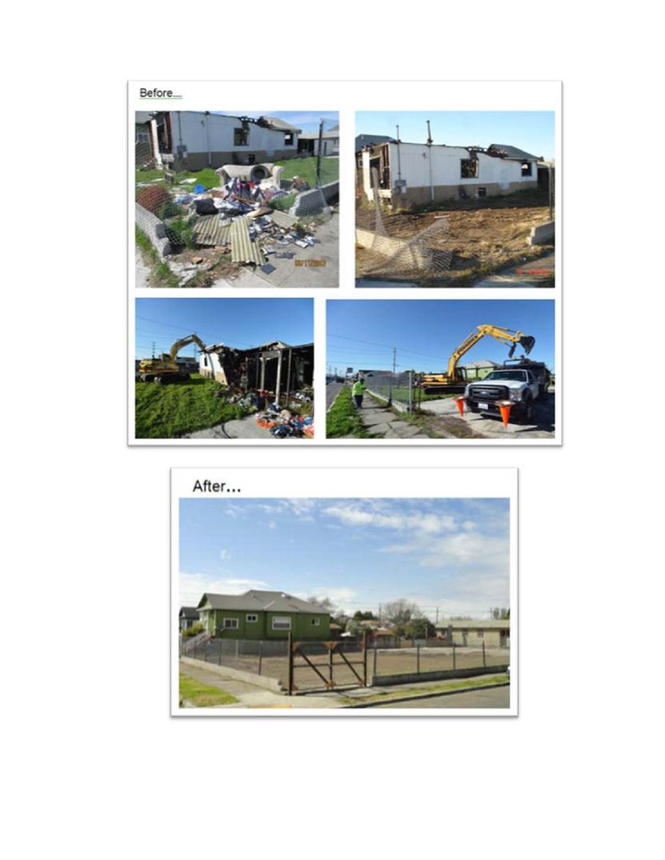

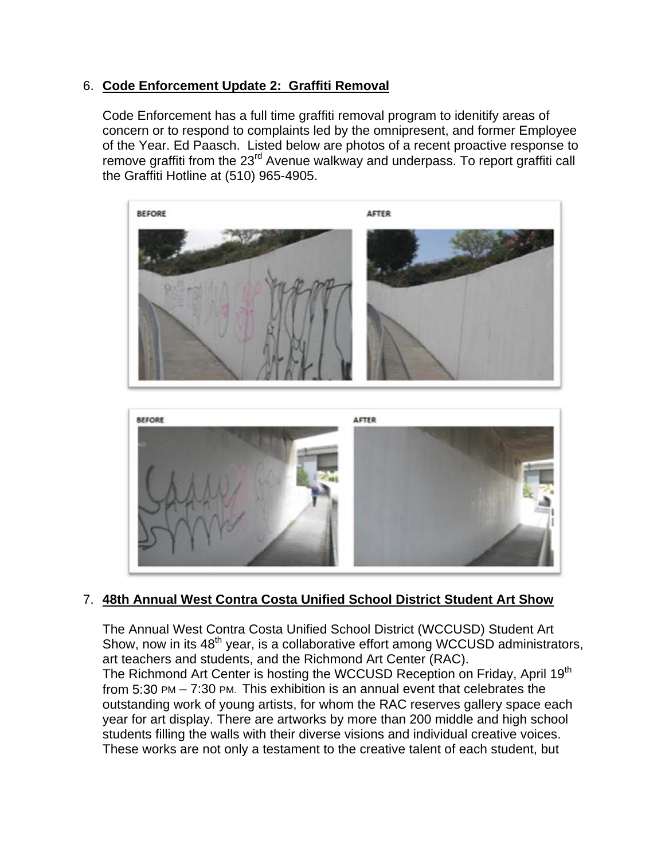## 6. **Code Enforcement Update 2: Graffiti Removal**

Code Enforcement has a full time graffiti removal program to idenitify areas of concern or to respond to complaints led by the omnipresent, and former Employee of the Year. Ed Paasch. Listed below are photos of a recent proactive response to remove graffiti from the 23<sup>rd</sup> Avenue walkway and underpass. To report graffiti call the Graffiti Hotline at (510) 965-4905.



## 7. **48th Annual West Contra Costa Unified School District Student Art Show**

The Annual West Contra Costa Unified School District (WCCUSD) Student Art Show, now in its 48<sup>th</sup> year, is a collaborative effort among WCCUSD administrators, art teachers and students, and the Richmond Art Center (RAC). The Richmond Art Center is hosting the WCCUSD Reception on Friday, April 19<sup>th</sup> from 5:30 PM – 7:30 PM. This exhibition is an annual event that celebrates the outstanding work of young artists, for whom the RAC reserves gallery space each year for art display. There are artworks by more than 200 middle and high school students filling the walls with their diverse visions and individual creative voices. These works are not only a testament to the creative talent of each student, but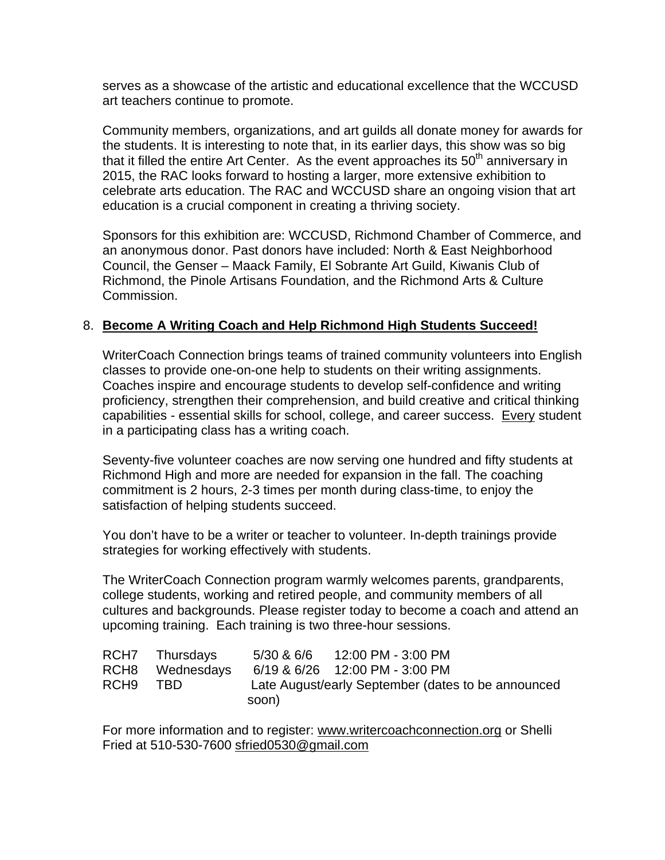serves as a showcase of the artistic and educational excellence that the WCCUSD art teachers continue to promote.

Community members, organizations, and art guilds all donate money for awards for the students. It is interesting to note that, in its earlier days, this show was so big that it filled the entire Art Center. As the event approaches its  $50<sup>th</sup>$  anniversary in 2015, the RAC looks forward to hosting a larger, more extensive exhibition to celebrate arts education. The RAC and WCCUSD share an ongoing vision that art education is a crucial component in creating a thriving society.

Sponsors for this exhibition are: WCCUSD, Richmond Chamber of Commerce, and an anonymous donor. Past donors have included: North & East Neighborhood Council, the Genser – Maack Family, El Sobrante Art Guild, Kiwanis Club of Richmond, the Pinole Artisans Foundation, and the Richmond Arts & Culture Commission.

## 8. **Become A Writing Coach and Help Richmond High Students Succeed!**

WriterCoach Connection brings teams of trained community volunteers into English classes to provide one-on-one help to students on their writing assignments. Coaches inspire and encourage students to develop self-confidence and writing proficiency, strengthen their comprehension, and build creative and critical thinking capabilities - essential skills for school, college, and career success. Every student in a participating class has a writing coach.

Seventy-five volunteer coaches are now serving one hundred and fifty students at Richmond High and more are needed for expansion in the fall. The coaching commitment is 2 hours, 2-3 times per month during class-time, to enjoy the satisfaction of helping students succeed.

You don't have to be a writer or teacher to volunteer. In-depth trainings provide strategies for working effectively with students.

The WriterCoach Connection program warmly welcomes parents, grandparents, college students, working and retired people, and community members of all cultures and backgrounds. Please register today to become a coach and attend an upcoming training. Each training is two three-hour sessions.

|                  | RCH7 Thursdays  | 5/30 & 6/6 12:00 PM - 3:00 PM                      |
|------------------|-----------------|----------------------------------------------------|
|                  | RCH8 Wednesdays | 6/19 & 6/26 12:00 PM - 3:00 PM                     |
| RCH <sub>9</sub> | TBD.            | Late August/early September (dates to be announced |
|                  |                 | soon)                                              |

For more information and to register: www.writercoachconnection.org or Shelli Fried at 510-530-7600 sfried0530@gmail.com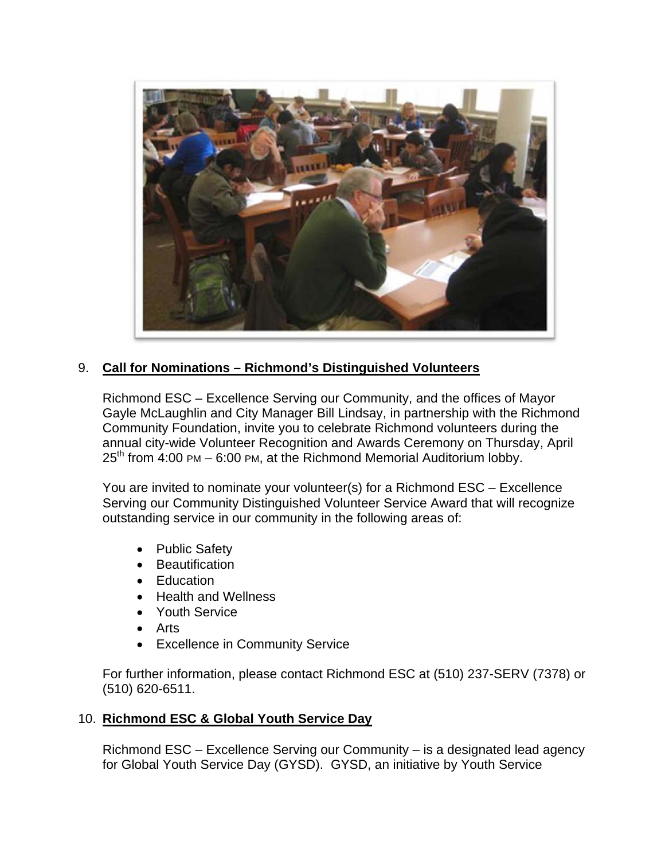

## 9. **Call for Nominations – Richmond's Distinguished Volunteers**

Richmond ESC – Excellence Serving our Community, and the offices of Mayor Gayle McLaughlin and City Manager Bill Lindsay, in partnership with the Richmond Community Foundation, invite you to celebrate Richmond volunteers during the annual city-wide Volunteer Recognition and Awards Ceremony on Thursday, April  $25<sup>th</sup>$  from 4:00 PM – 6:00 PM, at the Richmond Memorial Auditorium lobby.

You are invited to nominate your volunteer(s) for a Richmond ESC – Excellence Serving our Community Distinguished Volunteer Service Award that will recognize outstanding service in our community in the following areas of:

- Public Safety
- **•** Beautification
- Education
- Health and Wellness
- Youth Service
- Arts
- Excellence in Community Service

For further information, please contact Richmond ESC at (510) 237-SERV (7378) or (510) 620-6511.

### 10. **Richmond ESC & Global Youth Service Day**

Richmond ESC – Excellence Serving our Community – is a designated lead agency for Global Youth Service Day (GYSD). GYSD, an initiative by Youth Service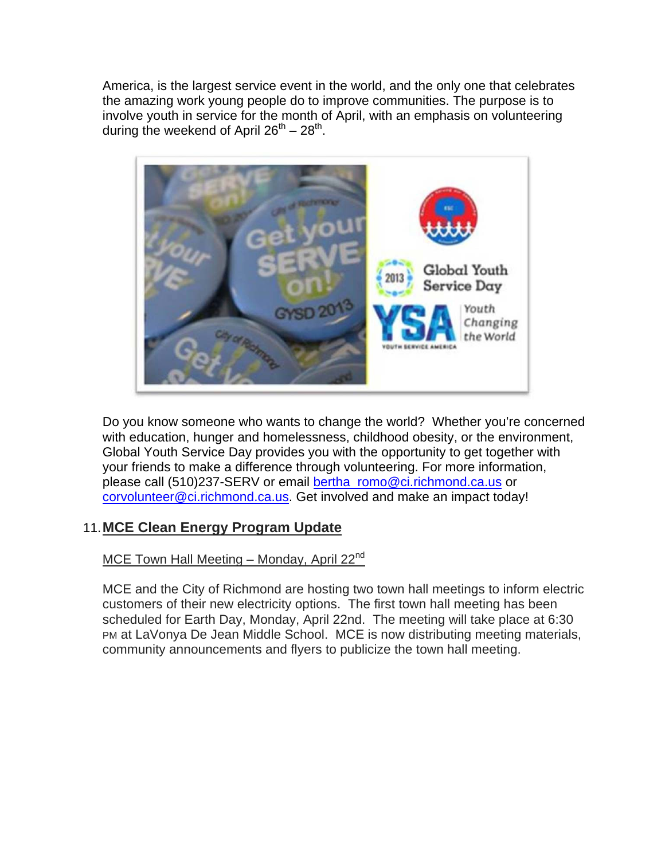America, is the largest service event in the world, and the only one that celebrates the amazing work young people do to improve communities. The purpose is to involve youth in service for the month of April, with an emphasis on volunteering during the weekend of April  $26^{th} - 28^{th}$ .



Do you know someone who wants to change the world? Whether you're concerned with education, hunger and homelessness, childhood obesity, or the environment, Global Youth Service Day provides you with the opportunity to get together with your friends to make a difference through volunteering. For more information, please call (510)237-SERV or email bertha\_romo@ci.richmond.ca.us or corvolunteer@ci.richmond.ca.us. Get involved and make an impact today!

# 11. **MCE Clean Energy Program Update**

# MCE Town Hall Meeting – Monday, April  $22<sup>nd</sup>$

MCE and the City of Richmond are hosting two town hall meetings to inform electric customers of their new electricity options. The first town hall meeting has been scheduled for Earth Day, Monday, April 22nd. The meeting will take place at 6:30 PM at LaVonya De Jean Middle School. MCE is now distributing meeting materials, community announcements and flyers to publicize the town hall meeting.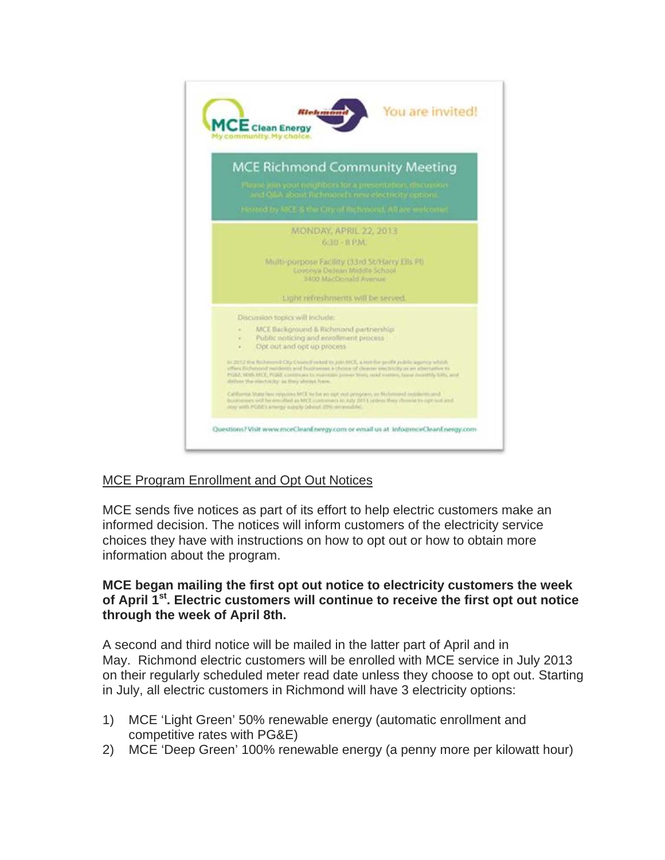

# MCE Program Enrollment and Opt Out Notices

MCE sends five notices as part of its effort to help electric customers make an informed decision. The notices will inform customers of the electricity service choices they have with instructions on how to opt out or how to obtain more information about the program.

#### **MCE began mailing the first opt out notice to electricity customers the week of April 1st. Electric customers will continue to receive the first opt out notice through the week of April 8th.**

A second and third notice will be mailed in the latter part of April and in May. Richmond electric customers will be enrolled with MCE service in July 2013 on their regularly scheduled meter read date unless they choose to opt out. Starting in July, all electric customers in Richmond will have 3 electricity options:

- 1) MCE 'Light Green' 50% renewable energy (automatic enrollment and competitive rates with PG&E)
- 2) MCE 'Deep Green' 100% renewable energy (a penny more per kilowatt hour)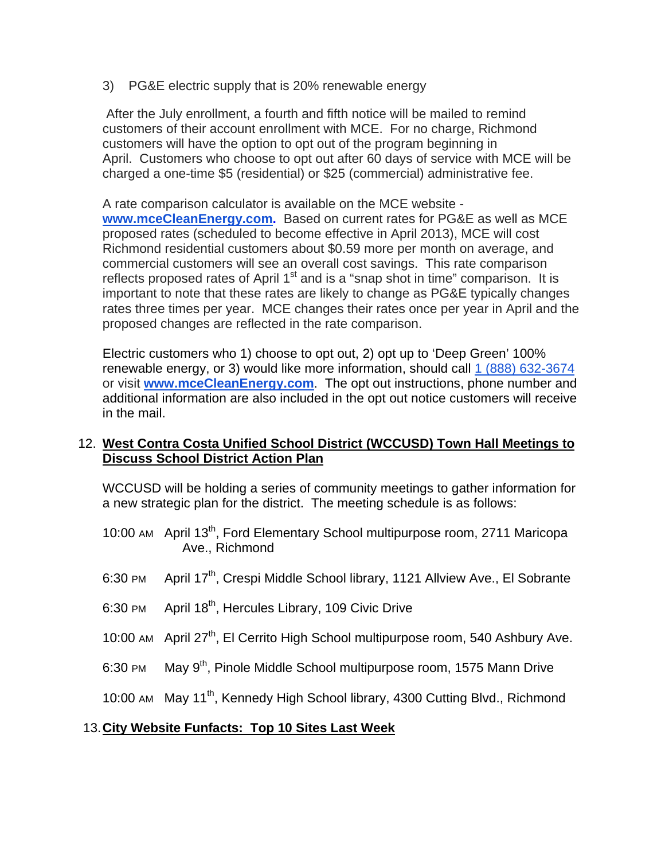3) PG&E electric supply that is 20% renewable energy

 After the July enrollment, a fourth and fifth notice will be mailed to remind customers of their account enrollment with MCE. For no charge, Richmond customers will have the option to opt out of the program beginning in April. Customers who choose to opt out after 60 days of service with MCE will be charged a one-time \$5 (residential) or \$25 (commercial) administrative fee.

A rate comparison calculator is available on the MCE website **www.mceCleanEnergy.com.** Based on current rates for PG&E as well as MCE proposed rates (scheduled to become effective in April 2013), MCE will cost Richmond residential customers about \$0.59 more per month on average, and commercial customers will see an overall cost savings. This rate comparison reflects proposed rates of April  $1<sup>st</sup>$  and is a "snap shot in time" comparison. It is important to note that these rates are likely to change as PG&E typically changes rates three times per year. MCE changes their rates once per year in April and the proposed changes are reflected in the rate comparison.

Electric customers who 1) choose to opt out, 2) opt up to 'Deep Green' 100% renewable energy, or 3) would like more information, should call 1 (888) 632-3674 or visit **www.mceCleanEnergy.com**. The opt out instructions, phone number and additional information are also included in the opt out notice customers will receive in the mail.

### 12. **West Contra Costa Unified School District (WCCUSD) Town Hall Meetings to Discuss School District Action Plan**

WCCUSD will be holding a series of community meetings to gather information for a new strategic plan for the district. The meeting schedule is as follows:

- 10:00 AM April 13<sup>th</sup>, Ford Elementary School multipurpose room, 2711 Maricopa Ave., Richmond
- 6:30 PM April 17<sup>th</sup>, Crespi Middle School library, 1121 Allview Ave., El Sobrante
- 6:30 PM April  $18<sup>th</sup>$ , Hercules Library, 109 Civic Drive
- 10:00 AM April 27<sup>th</sup>, El Cerrito High School multipurpose room, 540 Ashbury Ave.
- 6:30 PM May 9<sup>th</sup>, Pinole Middle School multipurpose room, 1575 Mann Drive

10:00 AM May 11<sup>th</sup>, Kennedy High School library, 4300 Cutting Blvd., Richmond

#### 13. **City Website Funfacts: Top 10 Sites Last Week**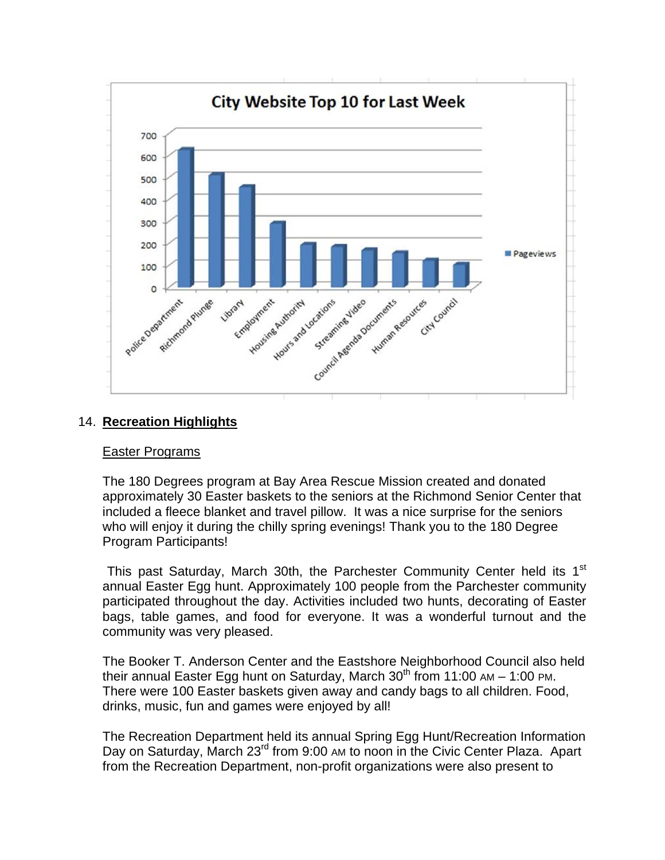

### 14. **Recreation Highlights**

#### Easter Programs

The 180 Degrees program at Bay Area Rescue Mission created and donated approximately 30 Easter baskets to the seniors at the Richmond Senior Center that included a fleece blanket and travel pillow. It was a nice surprise for the seniors who will enjoy it during the chilly spring evenings! Thank you to the 180 Degree Program Participants!

This past Saturday, March 30th, the Parchester Community Center held its 1<sup>st</sup> annual Easter Egg hunt. Approximately 100 people from the Parchester community participated throughout the day. Activities included two hunts, decorating of Easter bags, table games, and food for everyone. It was a wonderful turnout and the community was very pleased.

The Booker T. Anderson Center and the Eastshore Neighborhood Council also held their annual Easter Egg hunt on Saturday, March  $30<sup>th</sup>$  from 11:00 AM – 1:00 PM. There were 100 Easter baskets given away and candy bags to all children. Food, drinks, music, fun and games were enjoyed by all!

The Recreation Department held its annual Spring Egg Hunt/Recreation Information Day on Saturday, March 23<sup>rd</sup> from 9:00 AM to noon in the Civic Center Plaza. Apart from the Recreation Department, non-profit organizations were also present to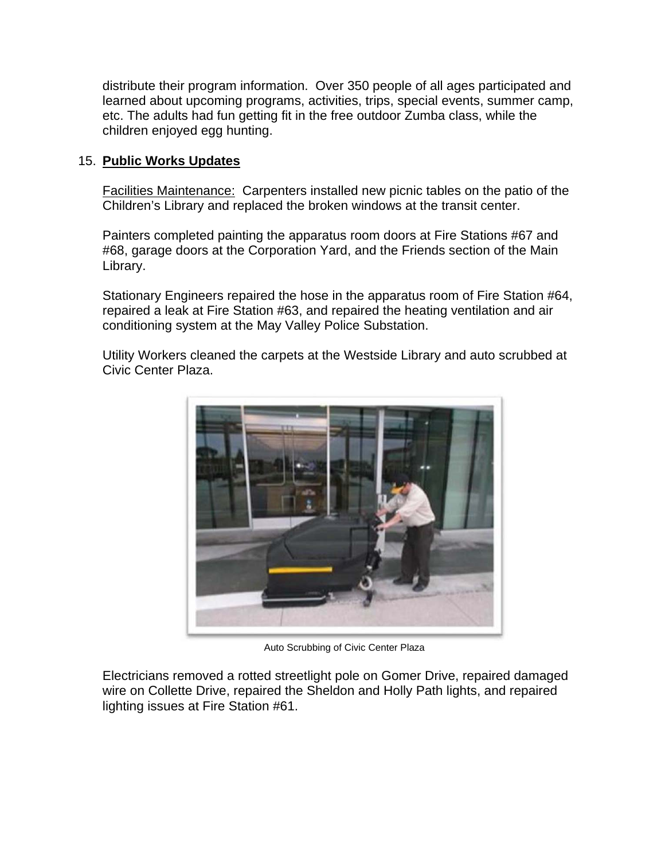distribute their program information. Over 350 people of all ages participated and learned about upcoming programs, activities, trips, special events, summer camp, etc. The adults had fun getting fit in the free outdoor Zumba class, while the children enjoyed egg hunting.

## 15. **Public Works Updates**

Facilities Maintenance: Carpenters installed new picnic tables on the patio of the Children's Library and replaced the broken windows at the transit center.

Painters completed painting the apparatus room doors at Fire Stations #67 and #68, garage doors at the Corporation Yard, and the Friends section of the Main Library.

Stationary Engineers repaired the hose in the apparatus room of Fire Station #64, repaired a leak at Fire Station #63, and repaired the heating ventilation and air conditioning system at the May Valley Police Substation.

Utility Workers cleaned the carpets at the Westside Library and auto scrubbed at Civic Center Plaza.



Auto Scrubbing of Civic Center Plaza

Electricians removed a rotted streetlight pole on Gomer Drive, repaired damaged wire on Collette Drive, repaired the Sheldon and Holly Path lights, and repaired lighting issues at Fire Station #61.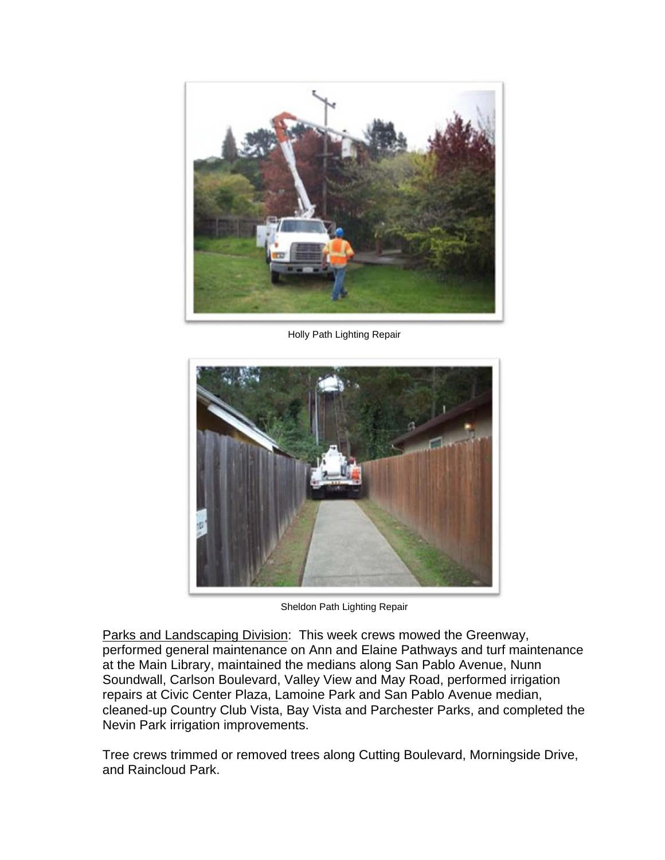

Holly Path Lighting Repair



Sheldon Path Lighting Repair

Parks and Landscaping Division: This week crews mowed the Greenway, performed general maintenance on Ann and Elaine Pathways and turf maintenance at the Main Library, maintained the medians along San Pablo Avenue, Nunn Soundwall, Carlson Boulevard, Valley View and May Road, performed irrigation repairs at Civic Center Plaza, Lamoine Park and San Pablo Avenue median, cleaned-up Country Club Vista, Bay Vista and Parchester Parks, and completed the Nevin Park irrigation improvements.

Tree crews trimmed or removed trees along Cutting Boulevard, Morningside Drive, and Raincloud Park.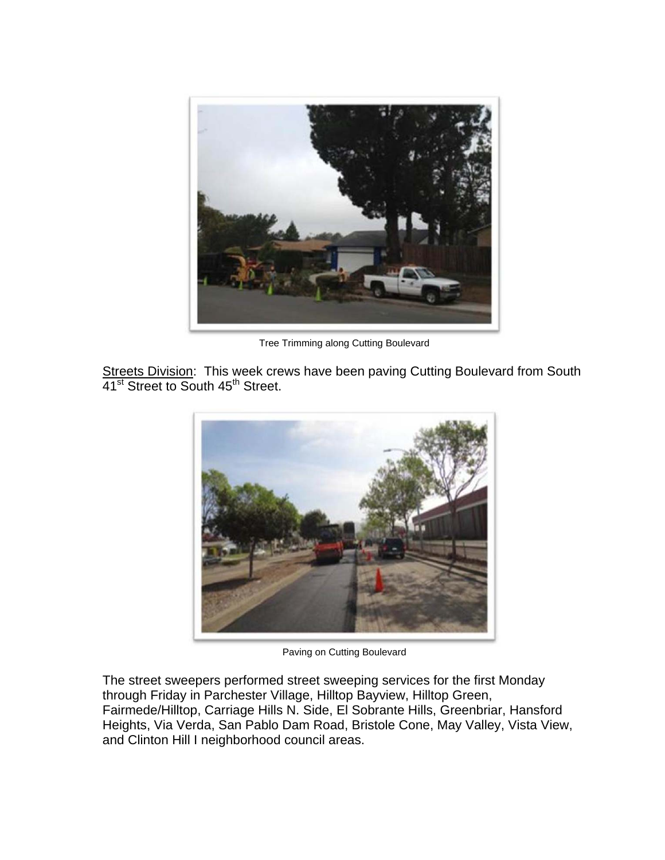

Tree Trimming along Cutting Boulevard

Streets Division: This week crews have been paving Cutting Boulevard from South 41<sup>st</sup> Street to South 45<sup>th</sup> Street.



Paving on Cutting Boulevard

The street sweepers performed street sweeping services for the first Monday through Friday in Parchester Village, Hilltop Bayview, Hilltop Green, Fairmede/Hilltop, Carriage Hills N. Side, El Sobrante Hills, Greenbriar, Hansford Heights, Via Verda, San Pablo Dam Road, Bristole Cone, May Valley, Vista View, and Clinton Hill I neighborhood council areas.